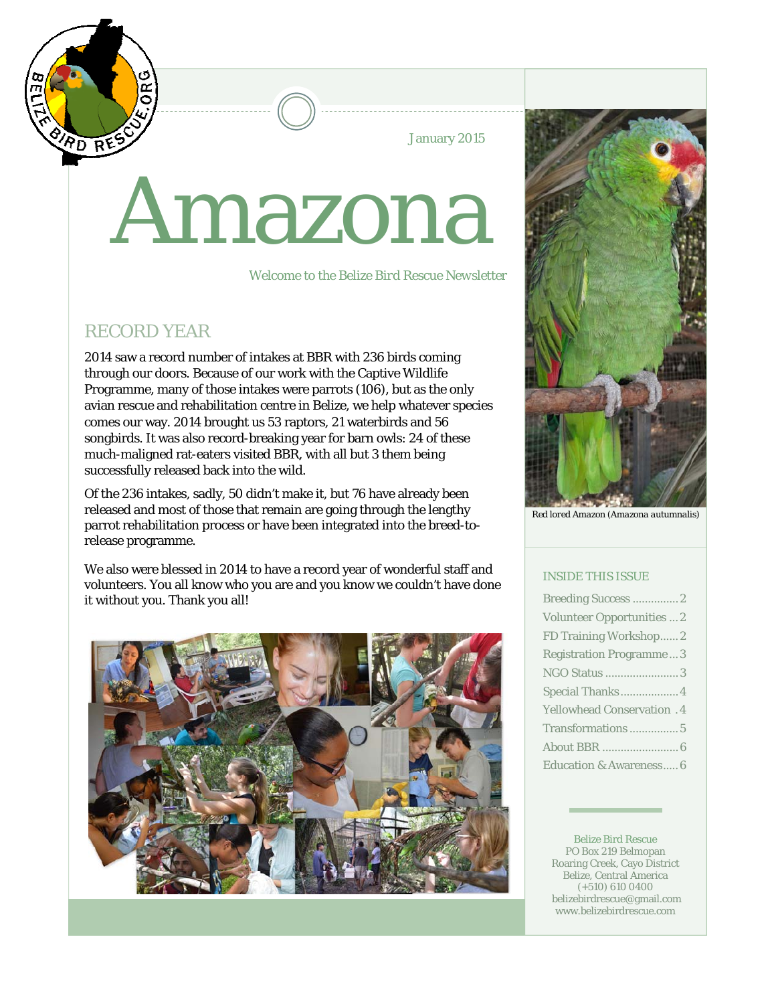

January 2015

# Amazona

*Welcome to the Belize Bird Rescue Newsletter* 

### RECORD YEAR

2014 saw a record number of intakes at BBR with 236 birds coming through our doors. Because of our work with the Captive Wildlife Programme, many of those intakes were parrots (106), but as the only avian rescue and rehabilitation centre in Belize, we help whatever species comes our way. 2014 brought us 53 raptors, 21 waterbirds and 56 songbirds. It was also record-breaking year for barn owls: 24 of these much-maligned rat-eaters visited BBR, with all but 3 them being successfully released back into the wild.

Of the 236 intakes, sadly, 50 didn't make it, but 76 have already been released and most of those that remain are going through the lengthy parrot rehabilitation process or have been integrated into the breed-torelease programme.

We also were blessed in 2014 to have a record year of wonderful staff and volunteers. You all know who you are and you know we couldn't have done it without you. Thank you all!





*Red lored Amazon (Amazona autumnalis)* 

#### INSIDE THIS ISSUE

| <b>Breeding Success  2</b>         |
|------------------------------------|
| Volunteer Opportunities  2         |
| FD Training Workshop2              |
| <b>Registration Programme3</b>     |
|                                    |
| Special Thanks 4                   |
| <b>Yellowhead Conservation . 4</b> |
| Transformations5                   |
|                                    |
| Education & Awareness 6            |

Belize Bird Rescue PO Box 219 Belmopan Roaring Creek, Cayo District Belize, Central America (+510) 610 0400 belizebirdrescue@gmail.com www.belizebirdrescue.com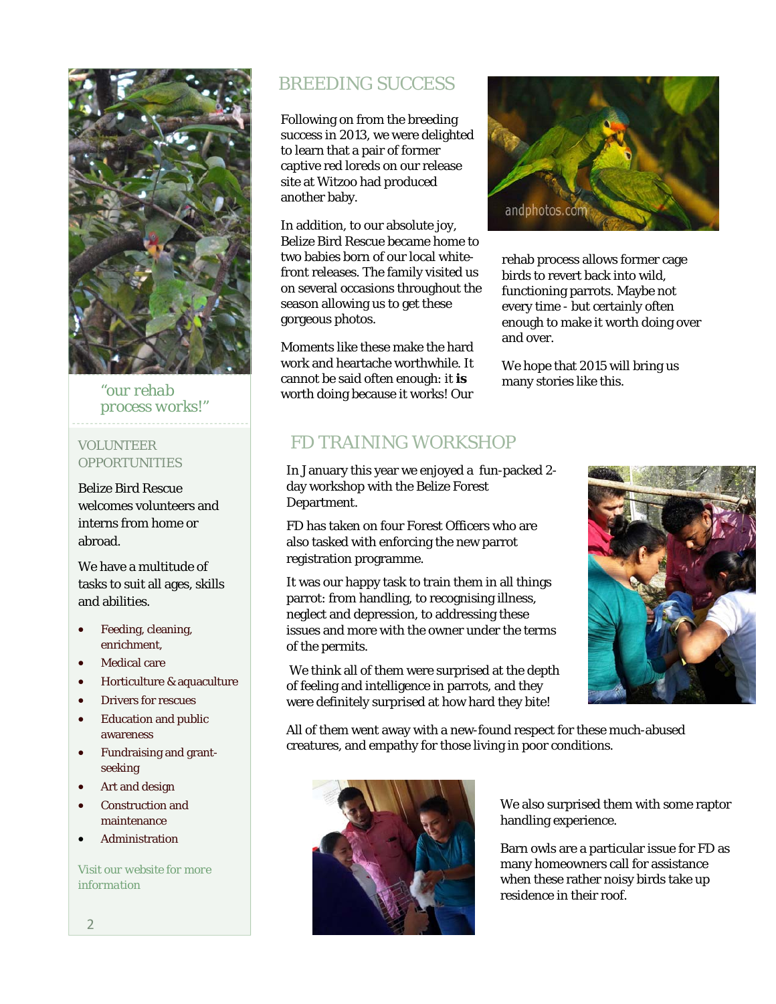

*"our rehab process works!"* 

#### VOLUNTEER **OPPORTUNITIES**

Belize Bird Rescue welcomes volunteers and interns from home or abroad.

We have a multitude of tasks to suit all ages, skills and abilities.

- Feeding, cleaning, enrichment,
- Medical care
- Horticulture & aquaculture
- **•** Drivers for rescues
- Education and public awareness
- Fundraising and grantseeking
- Art and design
- Construction and maintenance
- Administration

*Visit our website for more information*

## BREEDING SUCCESS

Following on from the breeding success in 2013, we were delighted to learn that a pair of former captive red loreds on our release site at Witzoo had produced another baby.

In addition, to our absolute joy, Belize Bird Rescue became home to two babies born of our local whitefront releases. The family visited us on several occasions throughout the season allowing us to get these gorgeous photos.

Moments like these make the hard work and heartache worthwhile. It cannot be said often enough: it **is** worth doing because it works! Our



In January this year we enjoyed a fun-packed 2 day workshop with the Belize Forest Department.

FD has taken on four Forest Officers who are also tasked with enforcing the new parrot registration programme.

It was our happy task to train them in all things parrot: from handling, to recognising illness, neglect and depression, to addressing these issues and more with the owner under the terms of the permits.

 We think all of them were surprised at the depth of feeling and intelligence in parrots, and they were definitely surprised at how hard they bite!



All of them went away with a new-found respect for these much-abused creatures, and empathy for those living in poor conditions.



We also surprised them with some raptor handling experience.

Barn owls are a particular issue for FD as many homeowners call for assistance when these rather noisy birds take up residence in their roof.



rehab process allows former cage birds to revert back into wild, functioning parrots. Maybe not every time - but certainly often enough to make it worth doing over and over.

We hope that 2015 will bring us many stories like this.

#### $\mathfrak{D}$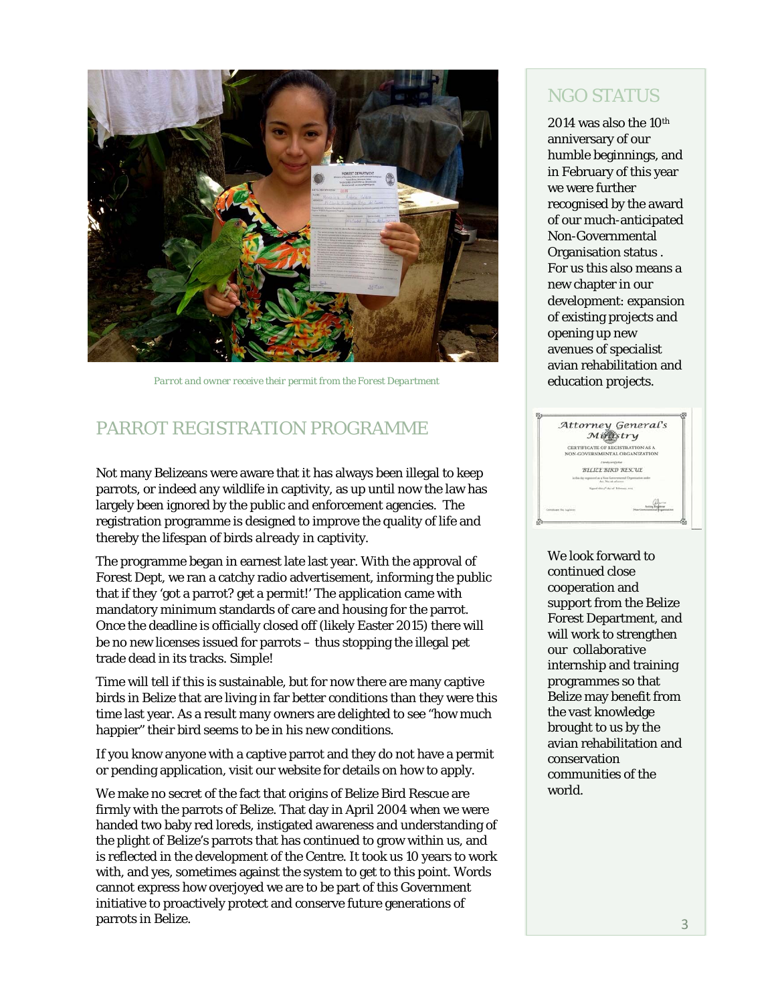

*Parrot and owner receive their permit from the Forest Department* 

## PARROT REGISTRATION PROGRAMME

Not many Belizeans were aware that it has always been illegal to keep parrots, or indeed any wildlife in captivity, as up until now the law has largely been ignored by the public and enforcement agencies. The registration programme is designed to improve the quality of life and thereby the lifespan of birds *already* in captivity.

The programme began in earnest late last year. With the approval of Forest Dept, we ran a catchy radio advertisement, informing the public that if they 'got a parrot? get a permit!' The application came with mandatory minimum standards of care and housing for the parrot. Once the deadline is officially closed off (likely Easter 2015) there will be no new licenses issued for parrots – thus stopping the illegal pet trade dead in its tracks. Simple!

Time will tell if this is sustainable, but for now there are many captive birds in Belize that are living in far better conditions than they were this time last year. As a result many owners are delighted to see "how much happier" their bird seems to be in his new conditions.

If you know anyone with a captive parrot and they do not have a permit or pending application, visit our website for details on how to apply.

We make no secret of the fact that origins of Belize Bird Rescue are firmly with the parrots of Belize. That day in April 2004 when we were handed two baby red loreds, instigated awareness and understanding of the plight of Belize's parrots that has continued to grow within us, and is reflected in the development of the Centre. It took us 10 years to work with, and yes, sometimes against the system to get to this point. Words cannot express how overjoyed we are to be part of this Government initiative to proactively protect and conserve future generations of parrots in Belize.

## NGO STATUS

2014 was also the 10th anniversary of our humble beginnings, and in February of this year we were further recognised by the award of our much-anticipated Non-Governmental Organisation status . For us this also means a new chapter in our development: expansion of existing projects and opening up new avenues of specialist avian rehabilitation and education projects.

Attorney General's Ministry CERTIFICATE OF REGISTRATION AS A<br>NON-GOVERNMENTAL ORGANIZATION **BELIZE BIRD RESCUE** 

We look forward to continued close cooperation and support from the Belize Forest Department, and will work to strengthen our collaborative internship and training programmes so that Belize may benefit from the vast knowledge brought to us by the avian rehabilitation and conservation communities of the world.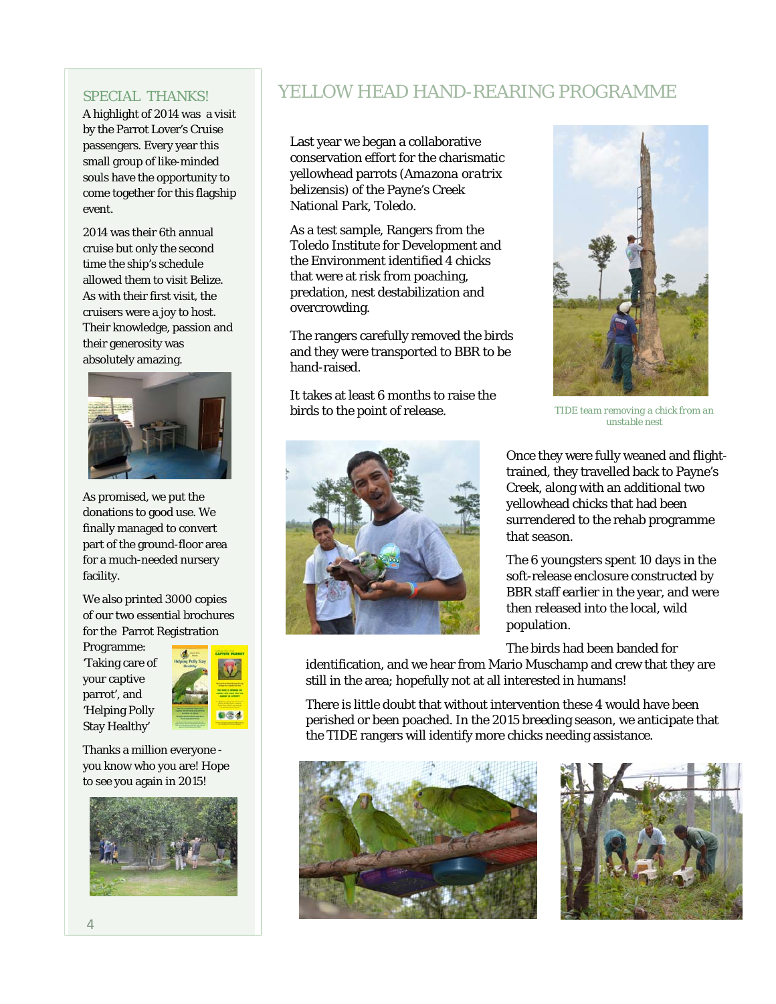#### SPECIAL THANKS!

A highlight of 2014 was a visit by the Parrot Lover's Cruise passengers. Every year this small group of like-minded souls have the opportunity to come together for this flagship event.

2014 was their 6th annual cruise but only the second time the ship's schedule allowed them to visit Belize. As with their first visit, the cruisers were a joy to host. Their knowledge, passion and their generosity was absolutely amazing.



As promised, we put the donations to good use. We finally managed to convert part of the ground-floor area for a much-needed nursery facility.

We also printed 3000 copies of our two essential brochures for the Parrot Registration

Programme: 'Taking care of your captive parrot', and 'Helping Polly Stay Healthy'



Thanks a million everyone you know who you are! Hope to see you again in 2015!



## YELLOW HEAD HAND-REARING PROGRAMME

Last year we began a collaborative conservation effort for the charismatic yellowhead parrots (*Amazona oratrix belizensis)* of the Payne's Creek National Park, Toledo.

As a test sample, Rangers from the Toledo Institute for Development and the Environment identified 4 chicks that were at risk from poaching, predation, nest destabilization and overcrowding.

The rangers carefully removed the birds and they were transported to BBR to be hand-raised.

It takes at least 6 months to raise the birds to the point of release.





*TIDE team removing a chick from an unstable nest* 

Once they were fully weaned and flighttrained, they travelled back to Payne's Creek, along with an additional two yellowhead chicks that had been surrendered to the rehab programme that season.

The 6 youngsters spent 10 days in the soft-release enclosure constructed by BBR staff earlier in the year, and were then released into the local, wild population.

The birds had been banded for

identification, and we hear from Mario Muschamp and crew that they are still in the area; hopefully not at all interested in humans!

There is little doubt that without intervention these 4 would have been perished or been poached. In the 2015 breeding season, we anticipate that the TIDE rangers will identify more chicks needing assistance.



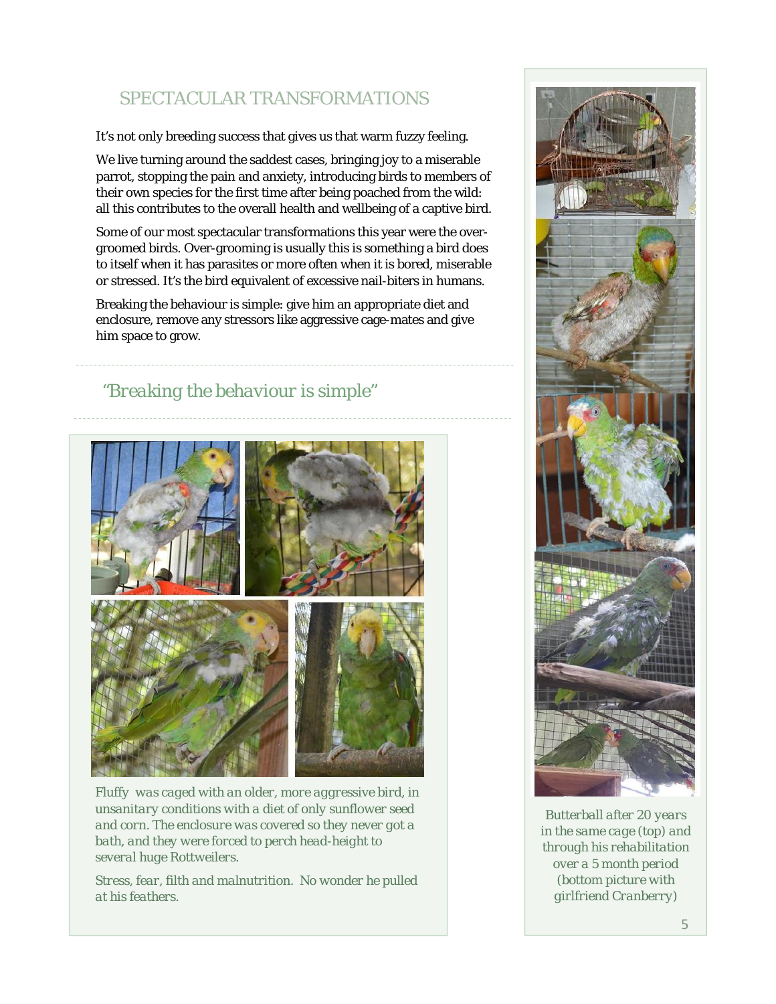## SPECTACULAR TRANSFORMATIONS

It's not only breeding success that gives us that warm fuzzy feeling.

We live turning around the saddest cases, bringing joy to a miserable parrot, stopping the pain and anxiety, introducing birds to members of their own species for the first time after being poached from the wild: all this contributes to the overall health and wellbeing of a captive bird.

Some of our most spectacular transformations this year were the overgroomed birds. Over-grooming is usually this is something a bird does to itself when it has parasites or more often when it is bored, miserable or stressed. It's the bird equivalent of excessive nail-biters in humans.

Breaking the behaviour is simple: give him an appropriate diet and enclosure, remove any stressors like aggressive cage-mates and give him space to grow.

## *"Breaking the behaviour is simple"*



*Fluffy was caged with an older, more aggressive bird, in unsanitary conditions with a diet of only sunflower seed and corn. The enclosure was covered so they never got a bath, and they were forced to perch head-height to several huge Rottweilers.* 

*Stress, fear, filth and malnutrition. No wonder he pulled at his feathers.* 



*Butterball after 20 years in the same cage (top) and through his rehabilitation over a 5 month period (bottom picture with girlfriend Cranberry)*